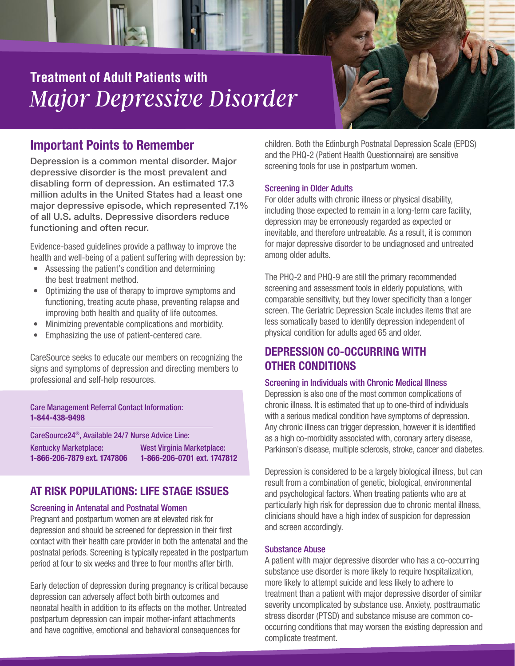# *Major Depressive Disorder* **Treatment of Adult Patients with**

## Important Points to Remember

Depression is a common mental disorder. Major depressive disorder is the most prevalent and disabling form of depression. An estimated 17.3 million adults in the United States had a least one major depressive episode, which represented 7.1% of all U.S. adults. Depressive disorders reduce functioning and often recur.

Evidence-based guidelines provide a pathway to improve the health and well-being of a patient suffering with depression by:

- Assessing the patient's condition and determining the best treatment method.
- Optimizing the use of therapy to improve symptoms and functioning, treating acute phase, preventing relapse and improving both health and quality of life outcomes.
- Minimizing preventable complications and morbidity.
- Emphasizing the use of patient-centered care.

CareSource seeks to educate our members on recognizing the signs and symptoms of depression and directing members to professional and self-help resources.

#### Care Management Referral Contact Information: 1-844-438-9498

CareSource24®, Available 24/7 Nurse Advice Line: Kentucky Marketplace: West Virginia Marketplace: 1-866-206-7879 ext. 1747806 1-866-206-0701 ext. 1747812

## AT RISK POPULATIONS: LIFE STAGE ISSUES

### Screening in Antenatal and Postnatal Women

Pregnant and postpartum women are at elevated risk for depression and should be screened for depression in their first contact with their health care provider in both the antenatal and the postnatal periods. Screening is typically repeated in the postpartum period at four to six weeks and three to four months after birth.

Early detection of depression during pregnancy is critical because depression can adversely affect both birth outcomes and neonatal health in addition to its effects on the mother. Untreated postpartum depression can impair mother-infant attachments and have cognitive, emotional and behavioral consequences for

children. Both the Edinburgh Postnatal Depression Scale (EPDS) and the PHQ-2 (Patient Health Questionnaire) are sensitive screening tools for use in postpartum women.

#### Screening in Older Adults

For older adults with chronic illness or physical disability, including those expected to remain in a long-term care facility, depression may be erroneously regarded as expected or inevitable, and therefore untreatable. As a result, it is common for major depressive disorder to be undiagnosed and untreated among older adults.

The PHQ-2 and PHQ-9 are still the primary recommended screening and assessment tools in elderly populations, with comparable sensitivity, but they lower specificity than a longer screen. The Geriatric Depression Scale includes items that are less somatically based to identify depression independent of physical condition for adults aged 65 and older.

## DEPRESSION CO-OCCURRING WITH OTHER CONDITIONS

#### Screening in Individuals with Chronic Medical Illness

Depression is also one of the most common complications of chronic illness. It is estimated that up to one-third of individuals with a serious medical condition have symptoms of depression. Any chronic illness can trigger depression, however it is identified as a high co-morbidity associated with, coronary artery disease, Parkinson's disease, multiple sclerosis, stroke, cancer and diabetes.

Depression is considered to be a largely biological illness, but can result from a combination of genetic, biological, environmental and psychological factors. When treating patients who are at particularly high risk for depression due to chronic mental illness, clinicians should have a high index of suspicion for depression and screen accordingly.

#### Substance Abuse

A patient with major depressive disorder who has a co-occurring substance use disorder is more likely to require hospitalization, more likely to attempt suicide and less likely to adhere to treatment than a patient with major depressive disorder of similar severity uncomplicated by substance use. Anxiety, posttraumatic stress disorder (PTSD) and substance misuse are common cooccurring conditions that may worsen the existing depression and complicate treatment.